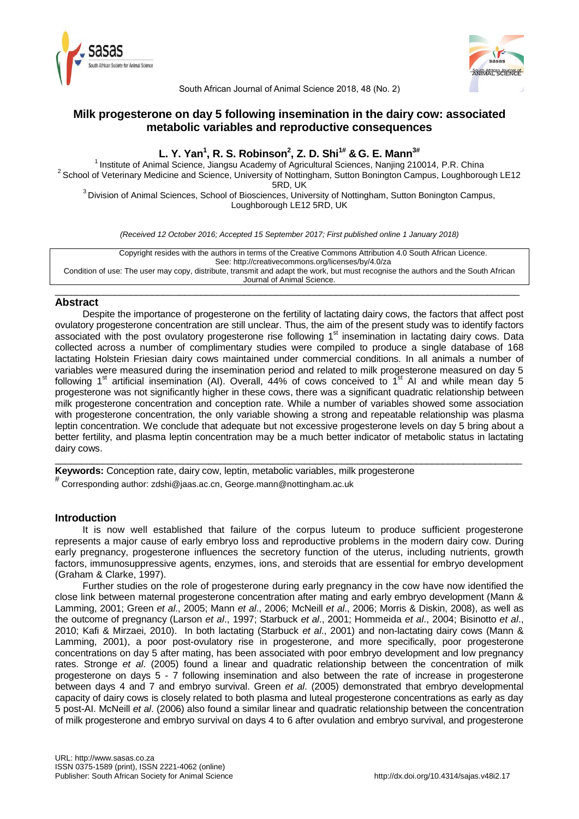



South African Journal of Animal Science 2018, 48 (No. 2)

# **Milk progesterone on day 5 following insemination in the dairy cow: associated metabolic variables and reproductive consequences**

# **L. Y. Yan<sup>1</sup> , R. S. Robinson<sup>2</sup> , Z. D. Shi1# &G. E. Mann3#**

<sup>1</sup> Institute of Animal Science, Jiangsu Academy of Agricultural Sciences, Nanjing 210014, P.R. China <sup>2</sup> School of Veterinary Medicine and Science, University of Nottingham, Sutton Bonington Campus, Loughborough LE12 5RD, UK

<sup>3</sup> Division of Animal Sciences, School of Biosciences, University of Nottingham, Sutton Bonington Campus, Loughborough LE12 5RD, UK

*(Received 12 October 2016; Accepted 15 September 2017; First published online 1 January 2018)*

Copyright resides with the authors in terms of the Creative Commons Attribution 4.0 South African Licence. See: http://creativecommons.org/licenses/by/4.0/za Condition of use: The user may copy, distribute, transmit and adapt the work, but must recognise the authors and the South African Journal of Animal Science.

\_\_\_\_\_\_\_\_\_\_\_\_\_\_\_\_\_\_\_\_\_\_\_\_\_\_\_\_\_\_\_\_\_\_\_\_\_\_\_\_\_\_\_\_\_\_\_\_\_\_\_\_\_\_\_\_\_\_\_\_\_\_\_\_\_\_\_\_\_\_\_\_\_\_\_\_\_\_\_\_\_\_\_\_\_\_

## **Abstract**

Despite the importance of progesterone on the fertility of lactating dairy cows, the factors that affect post ovulatory progesterone concentration are still unclear. Thus, the aim of the present study was to identify factors associated with the post ovulatory progesterone rise following  $1<sup>st</sup>$  insemination in lactating dairy cows. Data collected across a number of complimentary studies were compiled to produce a single database of 168 lactating Holstein Friesian dairy cows maintained under commercial conditions. In all animals a number of variables were measured during the insemination period and related to milk progesterone measured on day 5 following 1<sup>st</sup> artificial insemination (AI). Overall, 44% of cows conceived to 1<sup>st</sup> AI and while mean day 5 progesterone was not significantly higher in these cows, there was a significant quadratic relationship between milk progesterone concentration and conception rate. While a number of variables showed some association with progesterone concentration, the only variable showing a strong and repeatable relationship was plasma leptin concentration. We conclude that adequate but not excessive progesterone levels on day 5 bring about a better fertility, and plasma leptin concentration may be a much better indicator of metabolic status in lactating dairy cows.

 $\_$  ,  $\_$  ,  $\_$  ,  $\_$  ,  $\_$  ,  $\_$  ,  $\_$  ,  $\_$  ,  $\_$  ,  $\_$  ,  $\_$  ,  $\_$  ,  $\_$  ,  $\_$  ,  $\_$  ,  $\_$  ,  $\_$  ,  $\_$  ,  $\_$  ,  $\_$  ,  $\_$  ,  $\_$  ,  $\_$  ,  $\_$  ,  $\_$  ,  $\_$  ,  $\_$  ,  $\_$  ,  $\_$  ,  $\_$  ,  $\_$  ,  $\_$  ,  $\_$  ,  $\_$  ,  $\_$  ,  $\_$  ,  $\_$  ,

**Keywords:** Conception rate, dairy cow, leptin, metabolic variables, milk progesterone

# Corresponding author: zdshi@jaas.ac.cn, George.mann@nottingham.ac.uk

# **Introduction**

It is now well established that failure of the corpus luteum to produce sufficient progesterone represents a major cause of early embryo loss and reproductive problems in the modern dairy cow. During early pregnancy, progesterone influences the secretory function of the uterus, including nutrients, growth factors, immunosuppressive agents, enzymes, ions, and steroids that are essential for embryo development (Graham & Clarke, 1997).

Further studies on the role of progesterone during early pregnancy in the cow have now identified the close link between maternal progesterone concentration after mating and early embryo development (Mann & Lamming, 2001; Green *et al*., 2005; Mann *et al*., 2006; McNeill *et al*., 2006; Morris & Diskin, 2008), as well as the outcome of pregnancy (Larson *et al*., 1997; Starbuck *et al*., 2001; Hommeida *et al*., 2004; Bisinotto *et al*., 2010; Kafi & Mirzaei, 2010). In both lactating (Starbuck *et al*., 2001) and non-lactating dairy cows (Mann & Lamming, 2001), a poor post-ovulatory rise in progesterone, and more specifically, poor progesterone concentrations on day 5 after mating, has been associated with poor embryo development and low pregnancy rates. Stronge *et al*. (2005) found a linear and quadratic relationship between the concentration of milk progesterone on days 5 - 7 following insemination and also between the rate of increase in progesterone between days 4 and 7 and embryo survival. Green *et al*. (2005) demonstrated that embryo developmental capacity of dairy cows is closely related to both plasma and luteal progesterone concentrations as early as day 5 post-AI. McNeill *et al*. (2006) also found a similar linear and quadratic relationship between the concentration of milk progesterone and embryo survival on days 4 to 6 after ovulation and embryo survival, and progesterone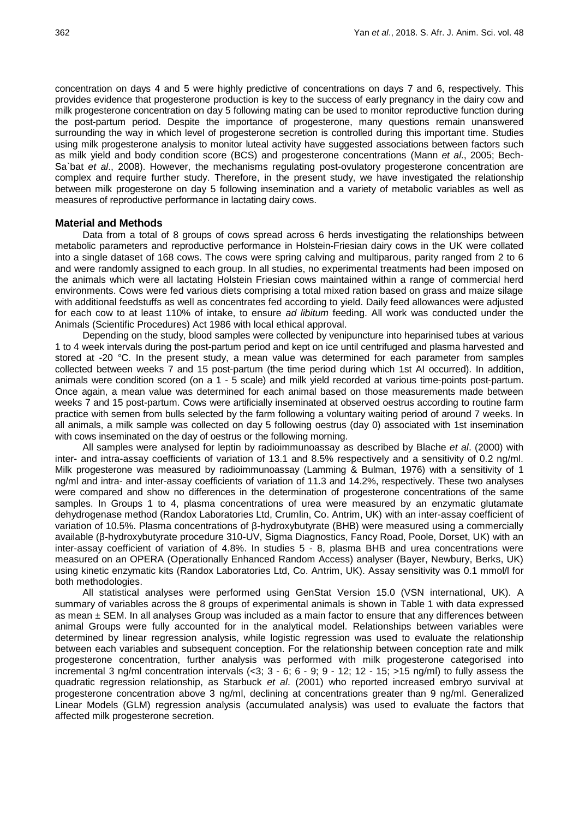concentration on days 4 and 5 were highly predictive of concentrations on days 7 and 6, respectively. This provides evidence that progesterone production is key to the success of early pregnancy in the dairy cow and milk progesterone concentration on day 5 following mating can be used to monitor reproductive function during the post-partum period. Despite the importance of progesterone, many questions remain unanswered surrounding the way in which level of progesterone secretion is controlled during this important time. Studies using milk progesterone analysis to monitor luteal activity have suggested associations between factors such as milk yield and body condition score (BCS) and progesterone concentrations (Mann *et al*., 2005; Bech-Sa`bat *et al*., 2008). However, the mechanisms regulating post-ovulatory progesterone concentration are complex and require further study. Therefore, in the present study, we have investigated the relationship between milk progesterone on day 5 following insemination and a variety of metabolic variables as well as measures of reproductive performance in lactating dairy cows.

### **Material and Methods**

Data from a total of 8 groups of cows spread across 6 herds investigating the relationships between metabolic parameters and reproductive performance in Holstein-Friesian dairy cows in the UK were collated into a single dataset of 168 cows. The cows were spring calving and multiparous, parity ranged from 2 to 6 and were randomly assigned to each group. In all studies, no experimental treatments had been imposed on the animals which were all lactating Holstein Friesian cows maintained within a range of commercial herd environments. Cows were fed various diets comprising a total mixed ration based on grass and maize silage with additional feedstuffs as well as concentrates fed according to yield. Daily feed allowances were adjusted for each cow to at least 110% of intake, to ensure *ad libitum* feeding. All work was conducted under the Animals (Scientific Procedures) Act 1986 with local ethical approval.

Depending on the study, blood samples were collected by venipuncture into heparinised tubes at various 1 to 4 week intervals during the post-partum period and kept on ice until centrifuged and plasma harvested and stored at -20 °C. In the present study, a mean value was determined for each parameter from samples collected between weeks 7 and 15 post-partum (the time period during which 1st AI occurred). In addition, animals were condition scored (on a 1 - 5 scale) and milk yield recorded at various time-points post-partum. Once again, a mean value was determined for each animal based on those measurements made between weeks 7 and 15 post-partum. Cows were artificially inseminated at observed oestrus according to routine farm practice with semen from bulls selected by the farm following a voluntary waiting period of around 7 weeks. In all animals, a milk sample was collected on day 5 following oestrus (day 0) associated with 1st insemination with cows inseminated on the day of oestrus or the following morning.

All samples were analysed for leptin by radioimmunoassay as described by Blache *et al*. (2000) with inter- and intra-assay coefficients of variation of 13.1 and 8.5% respectively and a sensitivity of 0.2 ng/ml. Milk progesterone was measured by radioimmunoassay (Lamming & Bulman, 1976) with a sensitivity of 1 ng/ml and intra- and inter-assay coefficients of variation of 11.3 and 14.2%, respectively. These two analyses were compared and show no differences in the determination of progesterone concentrations of the same samples. In Groups 1 to 4, plasma concentrations of urea were measured by an enzymatic glutamate dehydrogenase method (Randox Laboratories Ltd, Crumlin, Co. Antrim, UK) with an inter-assay coefficient of variation of 10.5%. Plasma concentrations of β-hydroxybutyrate (BHB) were measured using a commercially available (β-hydroxybutyrate procedure 310-UV, Sigma Diagnostics, Fancy Road, Poole, Dorset, UK) with an inter-assay coefficient of variation of 4.8%. In studies 5 - 8, plasma BHB and urea concentrations were measured on an OPERA (Operationally Enhanced Random Access) analyser (Bayer, Newbury, Berks, UK) using kinetic enzymatic kits (Randox Laboratories Ltd, Co. Antrim, UK). Assay sensitivity was 0.1 mmol/l for both methodologies.

All statistical analyses were performed using GenStat Version 15.0 (VSN international, UK). A summary of variables across the 8 groups of experimental animals is shown in Table 1 with data expressed as mean  $\pm$  SEM. In all analyses Group was included as a main factor to ensure that any differences between animal Groups were fully accounted for in the analytical model. Relationships between variables were determined by linear regression analysis, while logistic regression was used to evaluate the relationship between each variables and subsequent conception. For the relationship between conception rate and milk progesterone concentration, further analysis was performed with milk progesterone categorised into incremental 3 ng/ml concentration intervals  $\langle$ <3; 3 - 6; 6 - 9; 9 - 12; 12 - 15; >15 ng/ml) to fully assess the quadratic regression relationship, as Starbuck *et al*. (2001) who reported increased embryo survival at progesterone concentration above 3 ng/ml, declining at concentrations greater than 9 ng/ml. Generalized Linear Models (GLM) regression analysis (accumulated analysis) was used to evaluate the factors that affected milk progesterone secretion.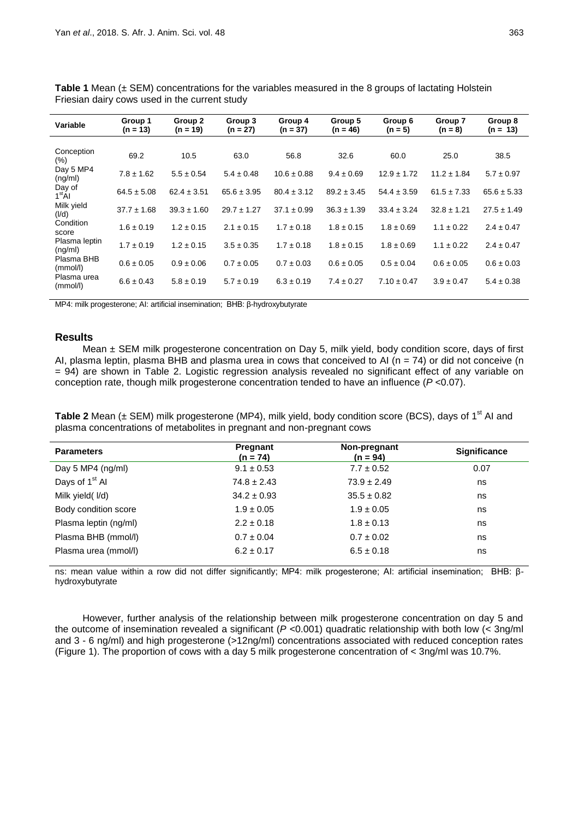| Variable                         | Group 1<br>$(n = 13)$ | Group 2<br>$(n = 19)$ | Group 3<br>$(n = 27)$ | Group 4<br>$(n = 37)$ | Group 5<br>$(n = 46)$ | Group 6<br>$(n = 5)$ | Group 7<br>$(n = 8)$ | Group 8<br>$(n = 13)$ |
|----------------------------------|-----------------------|-----------------------|-----------------------|-----------------------|-----------------------|----------------------|----------------------|-----------------------|
| Conception                       | 69.2                  | 10.5                  | 63.0                  | 56.8                  | 32.6                  | 60.0                 | 25.0                 | 38.5                  |
| (%)<br>Day 5 MP4                 |                       |                       |                       |                       |                       |                      |                      |                       |
| (ng/ml)<br>Day of                | $7.8 \pm 1.62$        | $5.5 \pm 0.54$        | $5.4 \pm 0.48$        | $10.6 \pm 0.88$       | $9.4 \pm 0.69$        | $12.9 \pm 1.72$      | $11.2 \pm 1.84$      | $5.7 \pm 0.97$        |
| 1 <sup>st</sup> Al<br>Milk yield | $64.5 \pm 5.08$       | $62.4 \pm 3.51$       | $65.6 \pm 3.95$       | $80.4 \pm 3.12$       | $89.2 \pm 3.45$       | $54.4 \pm 3.59$      | $61.5 \pm 7.33$      | $65.6 \pm 5.33$       |
| (I/d)<br>Condition               | $37.7 \pm 1.68$       | $39.3 \pm 1.60$       | $29.7 \pm 1.27$       | $37.1 \pm 0.99$       | $36.3 \pm 1.39$       | $33.4 \pm 3.24$      | $32.8 \pm 1.21$      | $27.5 \pm 1.49$       |
| score<br>Plasma leptin           | $1.6 \pm 0.19$        | $1.2 \pm 0.15$        | $2.1 \pm 0.15$        | $1.7 \pm 0.18$        | $1.8 \pm 0.15$        | $1.8 \pm 0.69$       | $1.1 \pm 0.22$       | $2.4 \pm 0.47$        |
| (ng/ml)                          | $1.7 \pm 0.19$        | $1.2 \pm 0.15$        | $3.5 \pm 0.35$        | $1.7 \pm 0.18$        | $1.8 \pm 0.15$        | $1.8 \pm 0.69$       | $1.1 \pm 0.22$       | $2.4 \pm 0.47$        |
| Plasma BHB<br>(mmol/l)           | $0.6 \pm 0.05$        | $0.9 \pm 0.06$        | $0.7 \pm 0.05$        | $0.7 \pm 0.03$        | $0.6 \pm 0.05$        | $0.5 \pm 0.04$       | $0.6 \pm 0.05$       | $0.6 \pm 0.03$        |
| Plasma urea<br>(mmol/l)          | $6.6 \pm 0.43$        | $5.8 \pm 0.19$        | $5.7 \pm 0.19$        | $6.3 \pm 0.19$        | $7.4 \pm 0.27$        | $7.10 \pm 0.47$      | $3.9 \pm 0.47$       | $5.4 \pm 0.38$        |

**Table 1** Mean (± SEM) concentrations for the variables measured in the 8 groups of lactating Holstein Friesian dairy cows used in the current study

MP4: milk progesterone; AI: artificial insemination; BHB: β-hydroxybutyrate

## **Results**

Mean ± SEM milk progesterone concentration on Day 5, milk yield, body condition score, days of first AI, plasma leptin, plasma BHB and plasma urea in cows that conceived to AI ( $n = 74$ ) or did not conceive (n = 94) are shown in Table 2. Logistic regression analysis revealed no significant effect of any variable on conception rate, though milk progesterone concentration tended to have an influence (*P* <0.07).

Table 2 Mean (± SEM) milk progesterone (MP4), milk yield, body condition score (BCS), days of 1<sup>st</sup> AI and plasma concentrations of metabolites in pregnant and non-pregnant cows

| <b>Parameters</b>          | Pregnant<br>$(n = 74)$ | Non-pregnant<br>$(n = 94)$ | <b>Significance</b> |  |
|----------------------------|------------------------|----------------------------|---------------------|--|
| Day 5 MP4 $(ng/ml)$        | $9.1 \pm 0.53$         | $7.7 \pm 0.52$             | 0.07                |  |
| Days of 1 <sup>st</sup> Al | $74.8 \pm 2.43$        | $73.9 \pm 2.49$            | ns                  |  |
| Milk yield (I/d)           | $34.2 \pm 0.93$        | $35.5 \pm 0.82$            | ns                  |  |
| Body condition score       | $1.9 \pm 0.05$         | $1.9 \pm 0.05$             | ns                  |  |
| Plasma leptin (ng/ml)      | $2.2 \pm 0.18$         | $1.8 \pm 0.13$             | ns                  |  |
| Plasma BHB (mmol/l)        | $0.7 \pm 0.04$         | $0.7 \pm 0.02$             | ns                  |  |
| Plasma urea (mmol/l)       | $6.2 \pm 0.17$         | $6.5 \pm 0.18$             | ns                  |  |

ns: mean value within a row did not differ significantly; MP4: milk progesterone; AI: artificial insemination; BHB: βhydroxybutyrate

However, further analysis of the relationship between milk progesterone concentration on day 5 and the outcome of insemination revealed a significant (*P* <0.001) quadratic relationship with both low (< 3ng/ml and 3 - 6 ng/ml) and high progesterone (>12ng/ml) concentrations associated with reduced conception rates (Figure 1). The proportion of cows with a day 5 milk progesterone concentration of < 3ng/ml was 10.7%.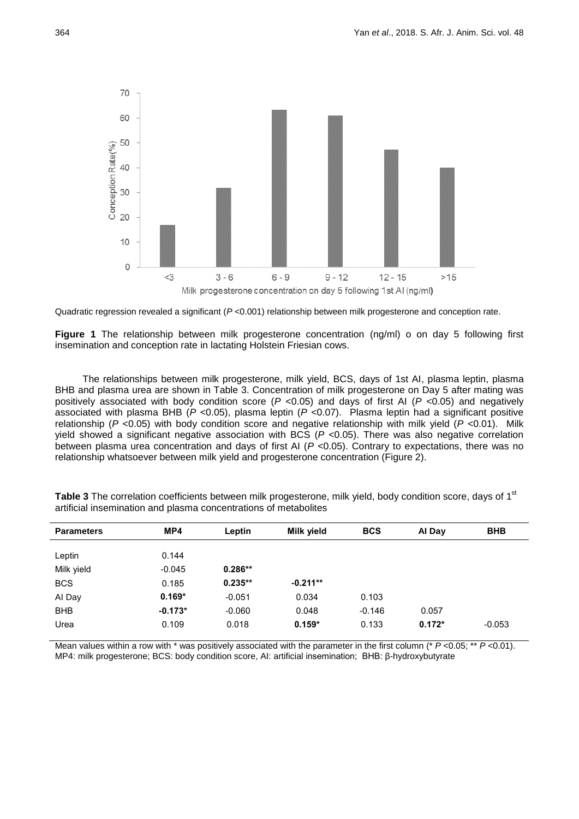

Quadratic regression revealed a significant (*P* <0.001) relationship between milk progesterone and conception rate.

**Figure 1** The relationship between milk progesterone concentration (ng/ml) o on day 5 following first insemination and conception rate in lactating Holstein Friesian cows.

The relationships between milk progesterone, milk yield, BCS, days of 1st AI, plasma leptin, plasma BHB and plasma urea are shown in Table 3. Concentration of milk progesterone on Day 5 after mating was positively associated with body condition score (*P* <0.05) and days of first AI (*P* <0.05) and negatively associated with plasma BHB (*P* <0.05), plasma leptin (*P* <0.07). Plasma leptin had a significant positive relationship (*P* <0.05) with body condition score and negative relationship with milk yield (*P* <0.01). Milk yield showed a significant negative association with BCS (*P* <0.05). There was also negative correlation between plasma urea concentration and days of first AI (*P* <0.05). Contrary to expectations, there was no relationship whatsoever between milk yield and progesterone concentration (Figure 2).

| MP4   | Leptin                                              | Milk yield                                     | <b>BCS</b>                   | Al Day            | <b>BHB</b> |
|-------|-----------------------------------------------------|------------------------------------------------|------------------------------|-------------------|------------|
|       |                                                     |                                                |                              |                   |            |
|       |                                                     |                                                |                              |                   |            |
|       |                                                     |                                                |                              |                   |            |
|       |                                                     |                                                |                              |                   |            |
|       |                                                     |                                                |                              |                   |            |
| 0.109 | 0.018                                               | $0.159*$                                       | 0.133                        | $0.172*$          | $-0.053$   |
|       | 0.144<br>$-0.045$<br>0.185<br>$0.169*$<br>$-0.173*$ | $0.286**$<br>$0.235**$<br>$-0.051$<br>$-0.060$ | $-0.211**$<br>0.034<br>0.048 | 0.103<br>$-0.146$ | 0.057      |

Table 3 The correlation coefficients between milk progesterone, milk yield, body condition score, days of 1<sup>st</sup> artificial insemination and plasma concentrations of metabolites

Mean values within a row with \* was positively associated with the parameter in the first column (\* *P* <0.05; \*\* *P* <0.01). MP4: milk progesterone; BCS: body condition score, AI: artificial insemination; BHB: β-hydroxybutyrate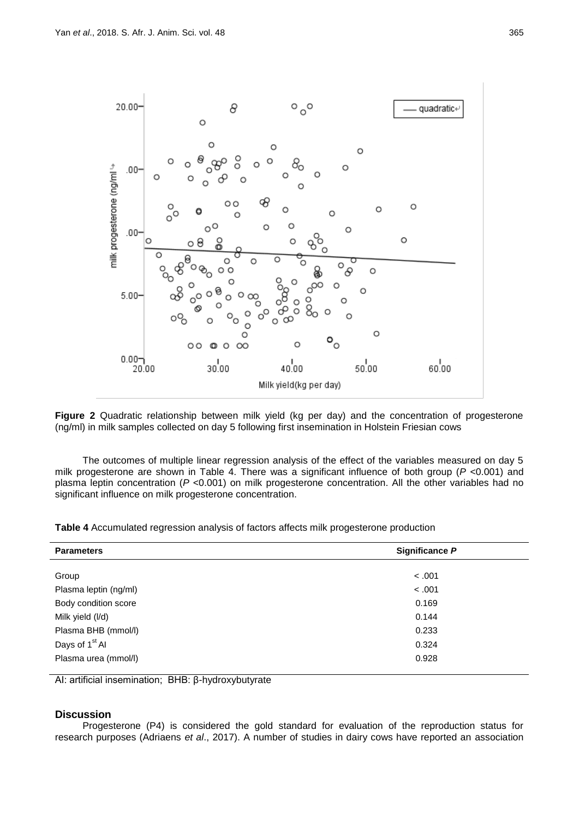

**Figure 2** Quadratic relationship between milk yield (kg per day) and the concentration of progesterone (ng/ml) in milk samples collected on day 5 following first insemination in Holstein Friesian cows

The outcomes of multiple linear regression analysis of the effect of the variables measured on day 5 milk progesterone are shown in Table 4. There was a significant influence of both group (*P* <0.001) and plasma leptin concentration (*P* <0.001) on milk progesterone concentration. All the other variables had no significant influence on milk progesterone concentration.

| <b>Parameters</b>                       | Significance P |  |  |  |
|-----------------------------------------|----------------|--|--|--|
| Group                                   | < .001         |  |  |  |
| Plasma leptin (ng/ml)                   | < .001         |  |  |  |
| Body condition score                    | 0.169          |  |  |  |
|                                         | 0.144          |  |  |  |
| Milk yield (I/d)<br>Plasma BHB (mmol/l) | 0.233          |  |  |  |
| Days of 1 <sup>st</sup> Al              | 0.324          |  |  |  |
|                                         |                |  |  |  |
| Plasma urea (mmol/l)                    | 0.928          |  |  |  |

AI: artificial insemination; BHB: β-hydroxybutyrate

## **Discussion**

Progesterone (P4) is considered the gold standard for evaluation of the reproduction status for research purposes (Adriaens *et al*., 2017). A number of studies in dairy cows have reported an association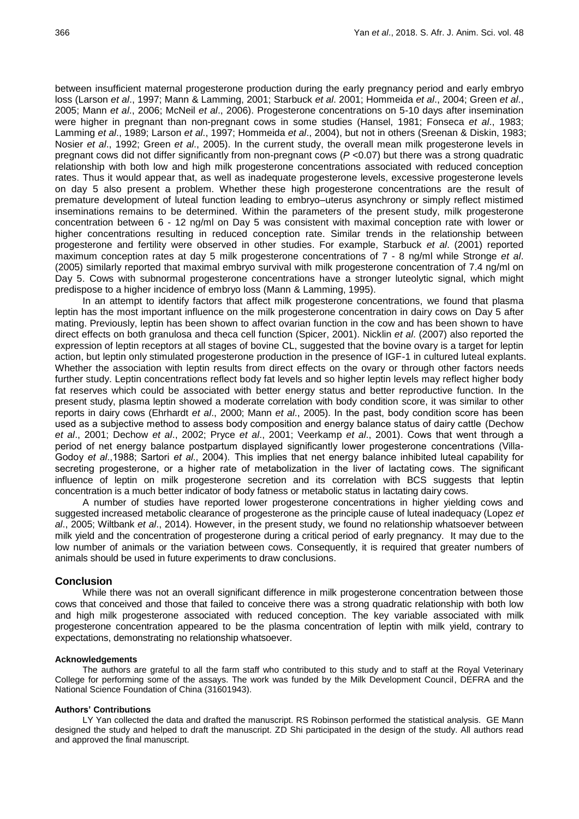between insufficient maternal progesterone production during the early pregnancy period and early embryo loss (Larson *et al*., 1997; Mann & Lamming, 2001; Starbuck *et al*. 2001; Hommeida *et al*., 2004; Green *et al*., 2005; Mann *et al*., 2006; McNeil *et al*., 2006). Progesterone concentrations on 5-10 days after insemination were higher in pregnant than non-pregnant cows in some studies (Hansel, 1981; Fonseca *et al*., 1983; Lamming *et al*., 1989; Larson *et al*., 1997; Hommeida *et al*., 2004), but not in others (Sreenan & Diskin, 1983; Nosier *et al*., 1992; Green *et al*., 2005). In the current study, the overall mean milk progesterone levels in pregnant cows did not differ significantly from non-pregnant cows (*P* <0.07) but there was a strong quadratic relationship with both low and high milk progesterone concentrations associated with reduced conception rates. Thus it would appear that, as well as inadequate progesterone levels, excessive progesterone levels on day 5 also present a problem. Whether these high progesterone concentrations are the result of premature development of luteal function leading to embryo–uterus asynchrony or simply reflect mistimed inseminations remains to be determined. Within the parameters of the present study, milk progesterone concentration between 6 - 12 ng/ml on Day 5 was consistent with maximal conception rate with lower or higher concentrations resulting in reduced conception rate. Similar trends in the relationship between progesterone and fertility were observed in other studies. For example, Starbuck *et al*. (2001) reported maximum conception rates at day 5 milk progesterone concentrations of 7 - 8 ng/ml while Stronge *et al*. (2005) similarly reported that maximal embryo survival with milk progesterone concentration of 7.4 ng/ml on Day 5. Cows with subnormal progesterone concentrations have a stronger luteolytic signal, which might predispose to a higher incidence of embryo loss (Mann & Lamming, 1995).

In an attempt to identify factors that affect milk progesterone concentrations, we found that plasma leptin has the most important influence on the milk progesterone concentration in dairy cows on Day 5 after mating. Previously, leptin has been shown to affect ovarian function in the cow and has been shown to have direct effects on both granulosa and theca cell function (Spicer, 2001). Nicklin *et al*. (2007) also reported the expression of leptin receptors at all stages of bovine CL, suggested that the bovine ovary is a target for leptin action, but leptin only stimulated progesterone production in the presence of IGF-1 in cultured luteal explants. Whether the association with leptin results from direct effects on the ovary or through other factors needs further study. Leptin concentrations reflect body fat levels and so higher leptin levels may reflect higher body fat reserves which could be associated with better energy status and better reproductive function. In the present study, plasma leptin showed a moderate correlation with body condition score, it was similar to other reports in dairy cows (Ehrhardt *et al*., 2000; Mann *et al*., 2005). In the past, body condition score has been used as a subjective method to assess body composition and energy balance status of dairy cattle (Dechow *et al*., 2001; Dechow *et al*., 2002; Pryce *et al*., 2001; Veerkamp *et al*., 2001). Cows that went through a period of net energy balance postpartum displayed significantly lower progesterone concentrations (Villa-Godoy *et al*.,1988; Sartori *et al*., 2004). This implies that net energy balance inhibited luteal capability for secreting progesterone, or a higher rate of metabolization in the liver of lactating cows. The significant influence of leptin on milk progesterone secretion and its correlation with BCS suggests that leptin concentration is a much better indicator of body fatness or metabolic status in lactating dairy cows.

A number of studies have reported lower progesterone concentrations in higher yielding cows and suggested increased metabolic clearance of progesterone as the principle cause of luteal inadequacy (Lopez *et al*., 2005; Wiltbank *et al*., 2014). However, in the present study, we found no relationship whatsoever between milk yield and the concentration of progesterone during a critical period of early pregnancy. It may due to the low number of animals or the variation between cows. Consequently, it is required that greater numbers of animals should be used in future experiments to draw conclusions.

## **Conclusion**

While there was not an overall significant difference in milk progesterone concentration between those cows that conceived and those that failed to conceive there was a strong quadratic relationship with both low and high milk progesterone associated with reduced conception. The key variable associated with milk progesterone concentration appeared to be the plasma concentration of leptin with milk yield, contrary to expectations, demonstrating no relationship whatsoever.

### **Acknowledgements**

The authors are grateful to all the farm staff who contributed to this study and to staff at the Royal Veterinary College for performing some of the assays. The work was funded by the Milk Development Council, DEFRA and the National Science Foundation of China (31601943).

#### **Authors' Contributions**

LY Yan collected the data and drafted the manuscript. RS Robinson performed the statistical analysis. GE Mann designed the study and helped to draft the manuscript. ZD Shi participated in the design of the study. All authors read and approved the final manuscript.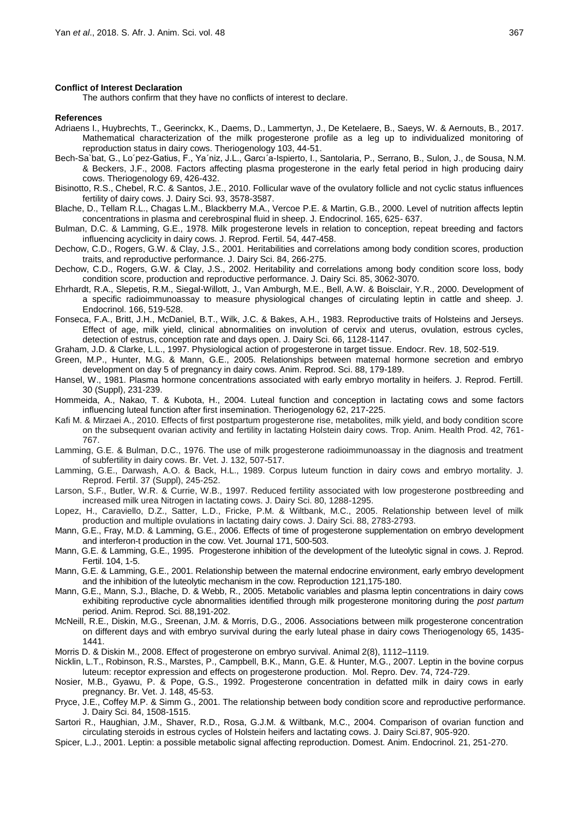#### **Conflict of Interest Declaration**

The authors confirm that they have no conflicts of interest to declare.

#### **References**

- Adriaens I., Huybrechts, T., Geerinckx, K., Daems, D., Lammertyn, J., De Ketelaere, B., Saeys, W. & Aernouts, B., 2017. Mathematical characterization of the milk progesterone profile as a leg up to individualized monitoring of reproduction status in dairy cows. Theriogenology 103, 44-51.
- Bech-Sa`bat, G., Lo´pez-Gatius, F., Ya´niz, J.L., Garcı´a-Ispierto, I., Santolaria, P., Serrano, B., Sulon, J., de Sousa, N.M. & Beckers, J.F., 2008. Factors affecting plasma progesterone in the early fetal period in high producing dairy cows. Theriogenology 69, 426-432.
- Bisinotto, R.S., Chebel, R.C. & Santos, J.E., 2010. Follicular wave of the ovulatory follicle and not cyclic status influences fertility of dairy cows. J. Dairy Sci. 93, 3578-3587.
- Blache, D., Tellam R.L., Chagas L.M., Blackberry M.A., Vercoe P.E. & Martin, G.B., 2000. Level of nutrition affects leptin concentrations in plasma and cerebrospinal fluid in sheep. J. Endocrinol. 165, 625- 637.
- Bulman, D.C. & Lamming, G.E., 1978. Milk progesterone levels in relation to conception, repeat breeding and factors influencing acyclicity in dairy cows. J. Reprod. Fertil. 54, 447-458.
- Dechow, C.D., Rogers, G.W. & Clay, J.S., 2001. Heritabilities and correlations among body condition scores, production traits, and reproductive performance. J. Dairy Sci. 84, 266-275.
- Dechow, C.D., Rogers, G.W. & Clay, J.S., 2002. Heritability and correlations among body condition score loss, body condition score, production and reproductive performance. J. Dairy Sci. 85, 3062-3070.
- Ehrhardt, R.A., Slepetis, R.M., Siegal-Willott, J., Van Amburgh, M.E., Bell, A.W. & Boisclair, Y.R., 2000. Development of a specific radioimmunoassay to measure physiological changes of circulating leptin in cattle and sheep. J. Endocrinol. 166, 519-528.
- Fonseca, F.A., Britt, J.H., McDaniel, B.T., Wilk, J.C. & Bakes, A.H., 1983. Reproductive traits of Holsteins and Jerseys. Effect of age, milk yield, clinical abnormalities on involution of cervix and uterus, ovulation, estrous cycles, detection of estrus, conception rate and days open. J. Dairy Sci. 66, 1128-1147.
- Graham, J.D. & Clarke, L.L., 1997. Physiological action of progesterone in target tissue. Endocr. Rev. 18, 502-519.
- Green, M.P., Hunter, M.G. & Mann, G.E., 2005. Relationships between maternal hormone secretion and embryo development on day 5 of pregnancy in dairy cows. Anim. Reprod. Sci. 88, 179-189.
- Hansel, W., 1981. Plasma hormone concentrations associated with early embryo mortality in heifers. J. Reprod. Fertill. 30 (Suppl), 231-239.
- Hommeida, A., Nakao, T. & Kubota, H., 2004. Luteal function and conception in lactating cows and some factors influencing luteal function after first insemination. Theriogenology 62, 217-225.
- Kafi M. & Mirzaei A., 2010. Effects of first postpartum progesterone rise, metabolites, milk yield, and body condition score on the subsequent ovarian activity and fertility in lactating Holstein dairy cows. Trop. Anim. Health Prod. 42, 761- 767.
- Lamming, G.E. & Bulman, D.C., 1976. The use of milk progesterone radioimmunoassay in the diagnosis and treatment of subfertility in dairy cows. Br. Vet. J. 132, 507-517.
- Lamming, G.E., Darwash, A.O. & Back, H.L., 1989. Corpus luteum function in dairy cows and embryo mortality. J. Reprod. Fertil. 37 (Suppl), 245-252.
- Larson, S.F., Butler, W.R. & Currie, W.B., 1997. Reduced fertility associated with low progesterone postbreeding and increased milk urea Nitrogen in lactating cows. J. Dairy Sci. 80, 1288-1295.
- Lopez, H., Caraviello, D.Z., Satter, L.D., Fricke, P.M. & Wiltbank, M.C., 2005. Relationship between level of milk production and multiple ovulations in lactating dairy cows. J. Dairy Sci. 88, 2783-2793.
- Mann, G.E., Fray, M.D. & Lamming, G.E., 2006. Effects of time of progesterone supplementation on embryo development and interferon-t production in the cow. Vet. Journal 171, 500-503.
- Mann, G.E. & Lamming, G.E., 1995. Progesterone inhibition of the development of the luteolytic signal in cows. J. Reprod. Fertil. 104, 1-5.
- Mann, G.E. & Lamming, G.E., 2001. Relationship between the maternal endocrine environment, early embryo development and the inhibition of the luteolytic mechanism in the cow. Reproduction 121,175-180.
- Mann, G.E., Mann, S.J., Blache, D. & Webb, R., 2005. Metabolic variables and plasma leptin concentrations in dairy cows exhibiting reproductive cycle abnormalities identified through milk progesterone monitoring during the *post partum* period. Anim. Reprod. Sci. 88,191-202.
- McNeill, R.E., Diskin, M.G., Sreenan, J.M. & Morris, D.G., 2006. Associations between milk progesterone concentration on different days and with embryo survival during the early luteal phase in dairy cows Theriogenology 65, 1435- 1441.
- Morris D. & Diskin M., 2008. Effect of progesterone on embryo survival. Animal 2(8), 1112–1119.
- Nicklin, L.T., Robinson, R.S., Marstes, P., Campbell, B.K., Mann, G.E. & Hunter, M.G., 2007. Leptin in the bovine corpus luteum: receptor expression and effects on progesterone production. Mol. Repro. Dev. 74, 724-729.
- Nosier, M.B., Gyawu, P. & Pope, G.S., 1992. Progesterone concentration in defatted milk in dairy cows in early pregnancy. Br. Vet. J. 148, 45-53.
- Pryce, J.E., Coffey M.P. & Simm G., 2001. The relationship between body condition score and reproductive performance. J. Dairy Sci. 84, 1508-1515.
- Sartori R., Haughian, J.M., Shaver, R.D., Rosa, G.J.M. & Wiltbank, M.C., 2004. Comparison of ovarian function and circulating steroids in estrous cycles of Holstein heifers and lactating cows. J. Dairy Sci.87, 905-920.
- Spicer, L.J., 2001. Leptin: a possible metabolic signal affecting reproduction. Domest. Anim. Endocrinol. 21, 251-270.